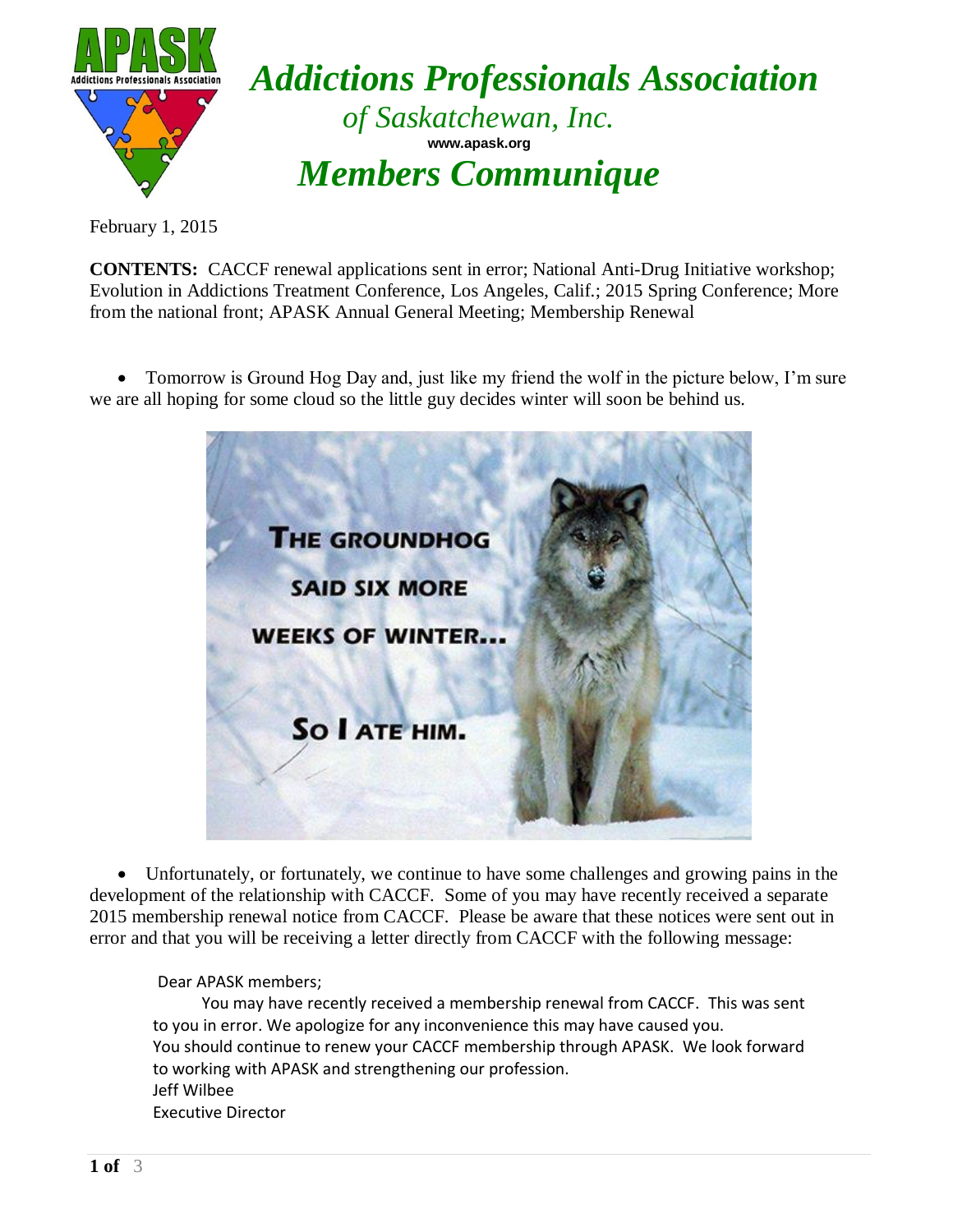

February 1, 2015

**CONTENTS:** CACCF renewal applications sent in error; National Anti-Drug Initiative workshop; Evolution in Addictions Treatment Conference, Los Angeles, Calif.; 2015 Spring Conference; More from the national front; APASK Annual General Meeting; Membership Renewal

• Tomorrow is Ground Hog Day and, just like my friend the wolf in the picture below, I'm sure we are all hoping for some cloud so the little guy decides winter will soon be behind us.



 Unfortunately, or fortunately, we continue to have some challenges and growing pains in the development of the relationship with CACCF. Some of you may have recently received a separate 2015 membership renewal notice from CACCF. Please be aware that these notices were sent out in error and that you will be receiving a letter directly from CACCF with the following message:

Dear APASK members;

You may have recently received a membership renewal from CACCF. This was sent to you in error. We apologize for any inconvenience this may have caused you. You should continue to renew your CACCF membership through APASK. We look forward to working with APASK and strengthening our profession. Jeff Wilbee Executive Director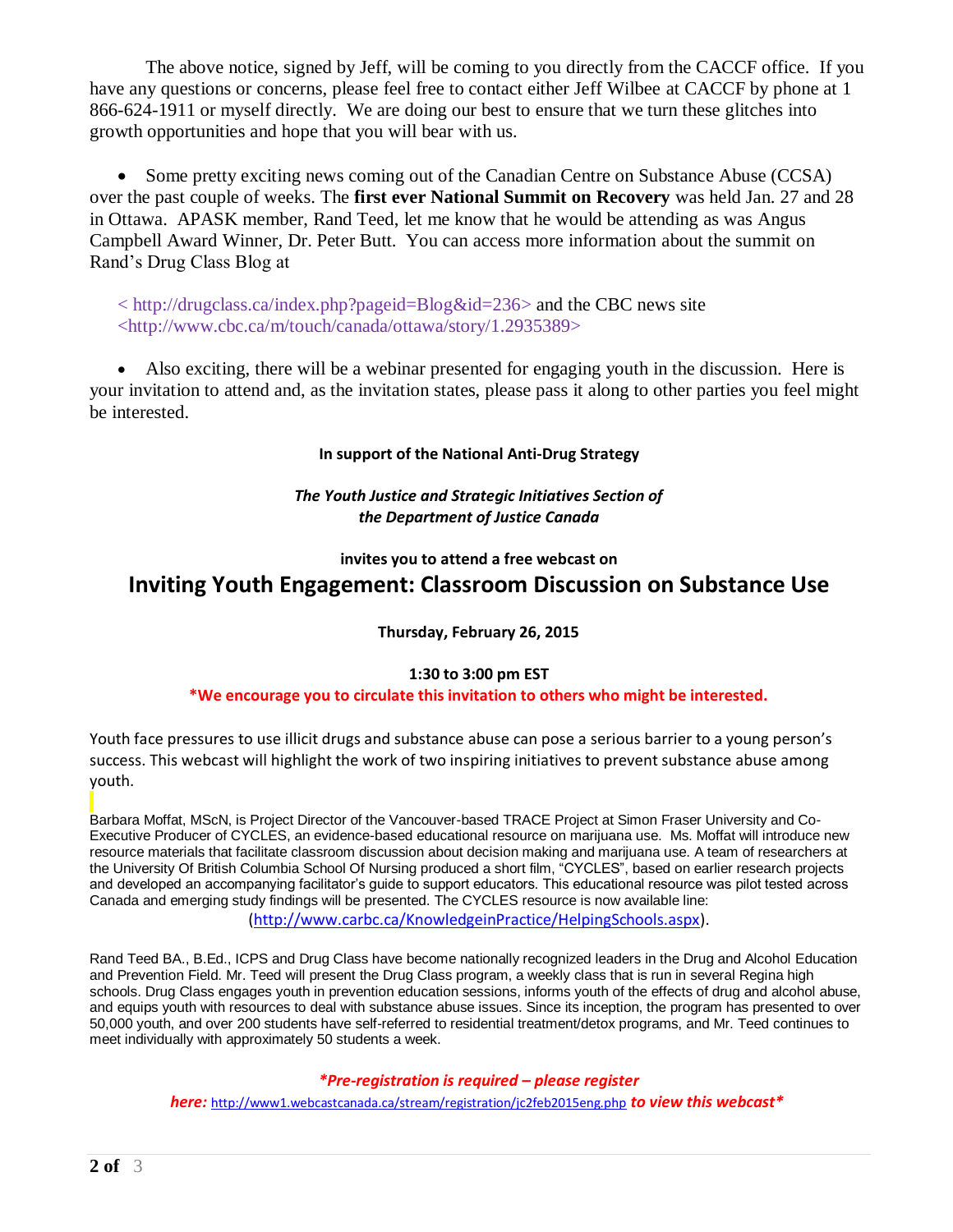The above notice, signed by Jeff, will be coming to you directly from the CACCF office. If you have any questions or concerns, please feel free to contact either Jeff Wilbee at CACCF by phone at 1 866-624-1911 or myself directly. We are doing our best to ensure that we turn these glitches into growth opportunities and hope that you will bear with us.

• Some pretty exciting news coming out of the Canadian Centre on Substance Abuse (CCSA) over the past couple of weeks. The **first ever National Summit on Recovery** was held Jan. 27 and 28 in Ottawa. APASK member, Rand Teed, let me know that he would be attending as was Angus Campbell Award Winner, Dr. Peter Butt. You can access more information about the summit on Rand's Drug Class Blog at

< [http://drugclass.ca/index.php?pageid=Blog&id=236>](http://drugclass.ca/index.php?pageid=Blog&id=236) and the CBC news site <http://www.cbc.ca/m/touch/canada/ottawa/story/1.2935389>

 Also exciting, there will be a webinar presented for engaging youth in the discussion. Here is your invitation to attend and, as the invitation states, please pass it along to other parties you feel might be interested.

## **In support of the National Anti-Drug Strategy**

## *The Youth Justice and Strategic Initiatives Section of the Department of Justice Canada*

# **invites you to attend a free webcast on Inviting Youth Engagement: Classroom Discussion on Substance Use**

## **Thursday, February 26, 2015**

### **1:30 to 3:00 pm EST**

### **\*We encourage you to circulate this invitation to others who might be interested.**

Youth face pressures to use illicit drugs and substance abuse can pose a serious barrier to a young person's success. This webcast will highlight the work of two inspiring initiatives to prevent substance abuse among youth.

Barbara Moffat, MScN, is Project Director of the Vancouver-based TRACE Project at Simon Fraser University and Co-Executive Producer of CYCLES, an evidence-based educational resource on marijuana use. Ms. Moffat will introduce new resource materials that facilitate classroom discussion about decision making and marijuana use. A team of researchers at the University Of British Columbia School Of Nursing produced a short film, "CYCLES", based on earlier research projects and developed an accompanying facilitator's guide to support educators. This educational resource was pilot tested across Canada and emerging study findings will be presented. The CYCLES resource is now available line:

[\(http://www.carbc.ca/KnowledgeinPractice/HelpingSchools.aspx\)](http://www.carbc.ca/KnowledgeinPractice/HelpingSchools.aspx).

Rand Teed BA., B.Ed., ICPS and Drug Class have become nationally recognized leaders in the Drug and Alcohol Education and Prevention Field. Mr. Teed will present the Drug Class program, a weekly class that is run in several Regina high schools. Drug Class engages youth in prevention education sessions, informs youth of the effects of drug and alcohol abuse, and equips youth with resources to deal with substance abuse issues. Since its inception, the program has presented to over 50,000 youth, and over 200 students have self-referred to residential treatment/detox programs, and Mr. Teed continues to meet individually with approximately 50 students a week.

### *\*Pre-registration is required – please register*

*here:* <http://www1.webcastcanada.ca/stream/registration/jc2feb2015eng.php> *to view this webcast\**